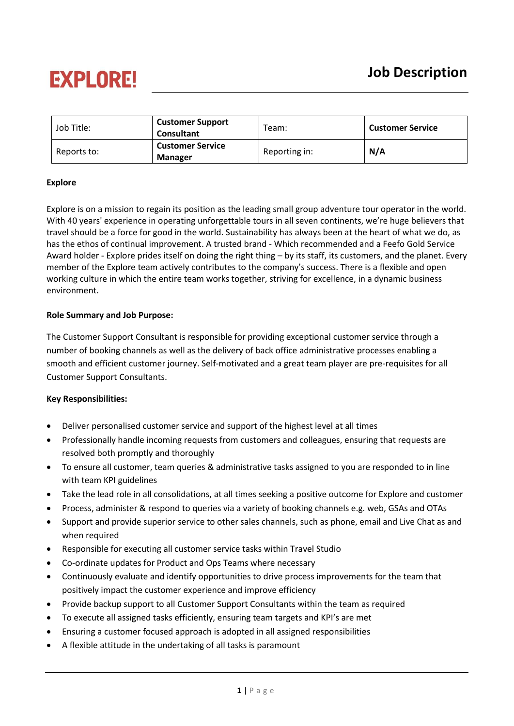# **EXPLORE!**

| Job Title:  | <b>Customer Support</b><br><b>Consultant</b> | $\tau$ eam:   | <b>Customer Service</b> |
|-------------|----------------------------------------------|---------------|-------------------------|
| Reports to: | <b>Customer Service</b><br><b>Manager</b>    | Reporting in: | N/A                     |

### **Explore**

Explore is on a mission to regain its position as the leading small group adventure tour operator in the world. With 40 years' experience in operating unforgettable tours in all seven continents, we're huge believers that travel should be a force for good in the world. Sustainability has always been at the heart of what we do, as has the ethos of continual improvement. A trusted brand - Which recommended and a Feefo Gold Service Award holder - Explore prides itself on doing the right thing – by its staff, its customers, and the planet. Every member of the Explore team actively contributes to the company's success. There is a flexible and open working culture in which the entire team works together, striving for excellence, in a dynamic business environment.

### **Role Summary and Job Purpose:**

The Customer Support Consultant is responsible for providing exceptional customer service through a number of booking channels as well as the delivery of back office administrative processes enabling a smooth and efficient customer journey. Self-motivated and a great team player are pre-requisites for all Customer Support Consultants.

### **Key Responsibilities:**

- Deliver personalised customer service and support of the highest level at all times
- Professionally handle incoming requests from customers and colleagues, ensuring that requests are resolved both promptly and thoroughly
- To ensure all customer, team queries & administrative tasks assigned to you are responded to in line with team KPI guidelines
- Take the lead role in all consolidations, at all times seeking a positive outcome for Explore and customer
- Process, administer & respond to queries via a variety of booking channels e.g. web, GSAs and OTAs
- Support and provide superior service to other sales channels, such as phone, email and Live Chat as and when required
- Responsible for executing all customer service tasks within Travel Studio
- Co-ordinate updates for Product and Ops Teams where necessary
- Continuously evaluate and identify opportunities to drive process improvements for the team that positively impact the customer experience and improve efficiency
- Provide backup support to all Customer Support Consultants within the team as required
- To execute all assigned tasks efficiently, ensuring team targets and KPI's are met
- Ensuring a customer focused approach is adopted in all assigned responsibilities
- A flexible attitude in the undertaking of all tasks is paramount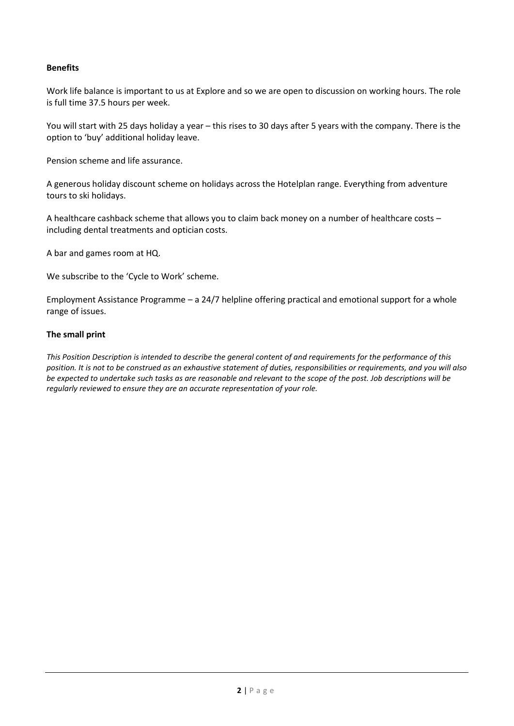### **Benefits**

Work life balance is important to us at Explore and so we are open to discussion on working hours. The role is full time 37.5 hours per week.

You will start with 25 days holiday a year – this rises to 30 days after 5 years with the company. There is the option to 'buy' additional holiday leave.

Pension scheme and life assurance.

A generous holiday discount scheme on holidays across the Hotelplan range. Everything from adventure tours to ski holidays.

A healthcare cashback scheme that allows you to claim back money on a number of healthcare costs – including dental treatments and optician costs.

A bar and games room at HQ.

We subscribe to the 'Cycle to Work' scheme.

Employment Assistance Programme – a 24/7 helpline offering practical and emotional support for a whole range of issues.

#### **The small print**

*This Position Description is intended to describe the general content of and requirements for the performance of this position. It is not to be construed as an exhaustive statement of duties, responsibilities or requirements, and you will also be expected to undertake such tasks as are reasonable and relevant to the scope of the post. Job descriptions will be regularly reviewed to ensure they are an accurate representation of your role.*